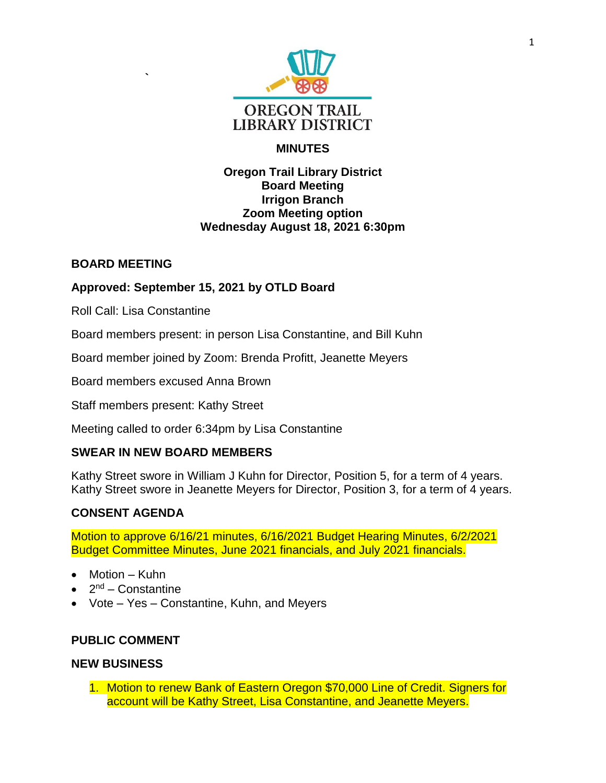

# **MINUTES**

#### **Oregon Trail Library District Board Meeting Irrigon Branch Zoom Meeting option Wednesday August 18, 2021 6:30pm**

#### **BOARD MEETING**

# **Approved: September 15, 2021 by OTLD Board**

Roll Call: Lisa Constantine

**`**

Board members present: in person Lisa Constantine, and Bill Kuhn

Board member joined by Zoom: Brenda Profitt, Jeanette Meyers

Board members excused Anna Brown

Staff members present: Kathy Street

Meeting called to order 6:34pm by Lisa Constantine

## **SWEAR IN NEW BOARD MEMBERS**

Kathy Street swore in William J Kuhn for Director, Position 5, for a term of 4 years. Kathy Street swore in Jeanette Meyers for Director, Position 3, for a term of 4 years.

## **CONSENT AGENDA**

Motion to approve 6/16/21 minutes, 6/16/2021 Budget Hearing Minutes, 6/2/2021 Budget Committee Minutes, June 2021 financials, and July 2021 financials.

- Motion Kuhn
- 2<sup>nd</sup> Constantine
- Vote Yes Constantine, Kuhn, and Meyers

## **PUBLIC COMMENT**

#### **NEW BUSINESS**

1. Motion to renew Bank of Eastern Oregon \$70,000 Line of Credit. Signers for account will be Kathy Street, Lisa Constantine, and Jeanette Meyers.